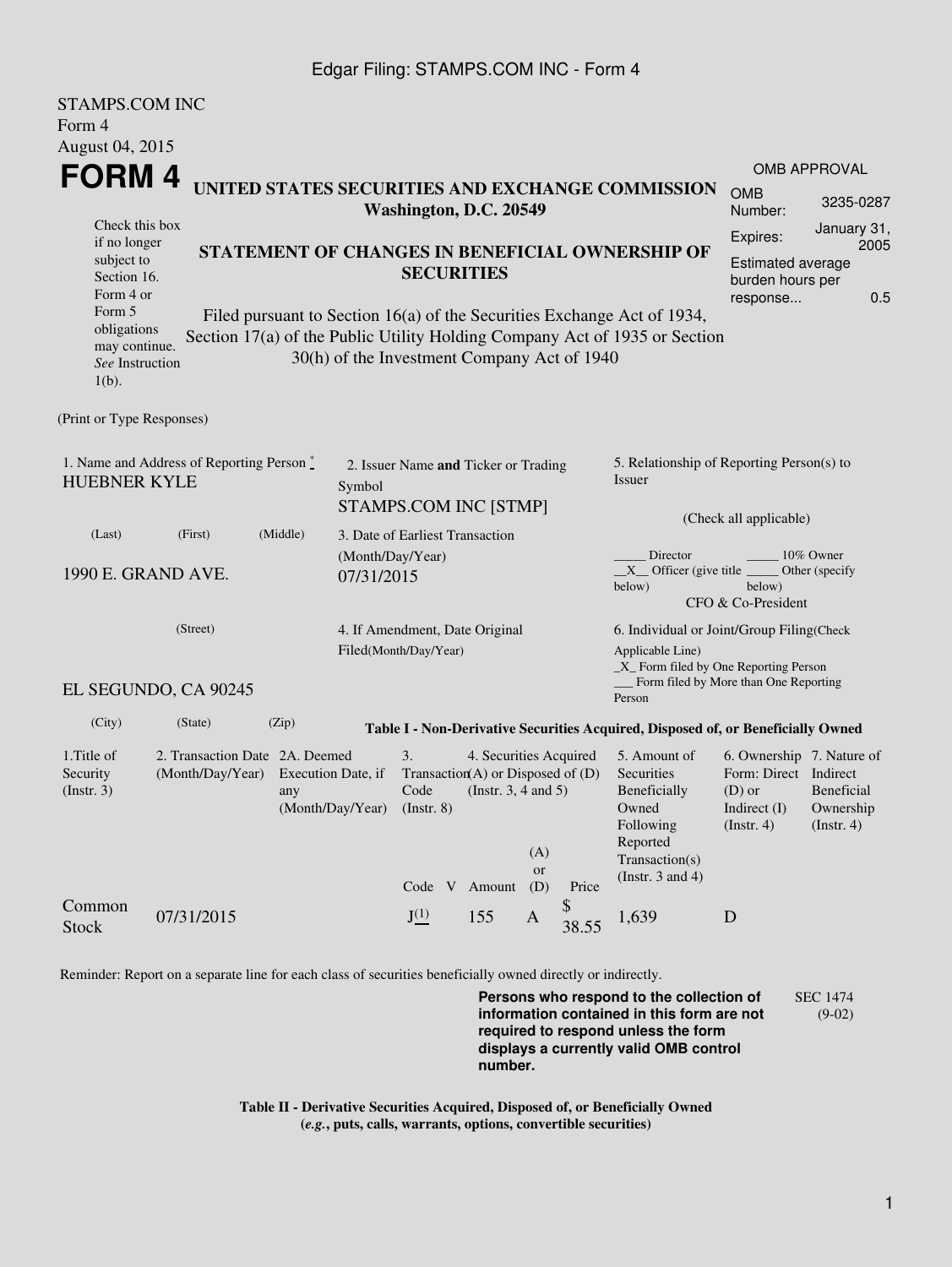## Edgar Filing: STAMPS.COM INC - Form 4

STAMPS COM INC

| STAMPS.COM INC<br>Form 4                                                                                                        |                                                    |                                                                                                                                                                                                                                                                                                                                                            |                                                         |                                                                                       |                                                    |                         |                                                                                                          |                                                                                                                                        |                                                                                                    |                                                                                      |  |
|---------------------------------------------------------------------------------------------------------------------------------|----------------------------------------------------|------------------------------------------------------------------------------------------------------------------------------------------------------------------------------------------------------------------------------------------------------------------------------------------------------------------------------------------------------------|---------------------------------------------------------|---------------------------------------------------------------------------------------|----------------------------------------------------|-------------------------|----------------------------------------------------------------------------------------------------------|----------------------------------------------------------------------------------------------------------------------------------------|----------------------------------------------------------------------------------------------------|--------------------------------------------------------------------------------------|--|
| August 04, 2015<br>FORM 4<br>Check this box                                                                                     |                                                    | UNITED STATES SECURITIES AND EXCHANGE COMMISSION<br>Washington, D.C. 20549<br>STATEMENT OF CHANGES IN BENEFICIAL OWNERSHIP OF<br><b>SECURITIES</b><br>Filed pursuant to Section 16(a) of the Securities Exchange Act of 1934,<br>Section 17(a) of the Public Utility Holding Company Act of 1935 or Section<br>30(h) of the Investment Company Act of 1940 |                                                         |                                                                                       |                                                    |                         |                                                                                                          |                                                                                                                                        |                                                                                                    | <b>OMB APPROVAL</b><br><b>OMB</b><br>3235-0287<br>Number:<br>January 31,<br>Expires: |  |
| if no longer<br>subject to<br>Section 16.<br>Form 4 or<br>Form 5<br>obligations<br>may continue.<br>See Instruction<br>$1(b)$ . |                                                    |                                                                                                                                                                                                                                                                                                                                                            |                                                         |                                                                                       |                                                    |                         |                                                                                                          |                                                                                                                                        |                                                                                                    | 2005<br>Estimated average<br>burden hours per<br>0.5<br>response                     |  |
| (Print or Type Responses)                                                                                                       |                                                    |                                                                                                                                                                                                                                                                                                                                                            |                                                         |                                                                                       |                                                    |                         |                                                                                                          |                                                                                                                                        |                                                                                                    |                                                                                      |  |
| 1. Name and Address of Reporting Person $\degree$<br><b>HUEBNER KYLE</b><br>Symbol                                              |                                                    |                                                                                                                                                                                                                                                                                                                                                            |                                                         | 2. Issuer Name and Ticker or Trading<br><b>STAMPS.COM INC [STMP]</b>                  |                                                    |                         |                                                                                                          | 5. Relationship of Reporting Person(s) to<br>Issuer                                                                                    |                                                                                                    |                                                                                      |  |
| (First)<br>(Middle)<br>(Last)<br>(Month/Day/Year)<br>1990 E. GRAND AVE.<br>07/31/2015<br>(Street)                               |                                                    |                                                                                                                                                                                                                                                                                                                                                            |                                                         | 3. Date of Earliest Transaction                                                       |                                                    |                         |                                                                                                          | (Check all applicable)<br>Director<br>10% Owner<br>$X$ Officer (give title<br>Other (specify<br>below)<br>below)<br>CFO & Co-President |                                                                                                    |                                                                                      |  |
|                                                                                                                                 |                                                    |                                                                                                                                                                                                                                                                                                                                                            | 4. If Amendment, Date Original<br>Filed(Month/Day/Year) |                                                                                       |                                                    |                         | 6. Individual or Joint/Group Filing (Check<br>Applicable Line)<br>_X_ Form filed by One Reporting Person |                                                                                                                                        |                                                                                                    |                                                                                      |  |
|                                                                                                                                 | EL SEGUNDO, CA 90245                               |                                                                                                                                                                                                                                                                                                                                                            |                                                         |                                                                                       |                                                    |                         |                                                                                                          | Form filed by More than One Reporting<br>Person                                                                                        |                                                                                                    |                                                                                      |  |
| (City)                                                                                                                          | (State)                                            | (Zip)                                                                                                                                                                                                                                                                                                                                                      |                                                         |                                                                                       |                                                    |                         |                                                                                                          | Table I - Non-Derivative Securities Acquired, Disposed of, or Beneficially Owned                                                       |                                                                                                    |                                                                                      |  |
| 1. Title of<br>Security<br>(Insert. 3)                                                                                          | 2. Transaction Date 2A. Deemed<br>(Month/Day/Year) | any                                                                                                                                                                                                                                                                                                                                                        | Execution Date, if<br>(Month/Day/Year)                  | 3.<br>Transaction(A) or Disposed of $(D)$<br>Code<br>$($ Instr. $8)$<br>Code V Amount | 4. Securities Acquired<br>(Instr. $3, 4$ and $5$ ) | (A)<br><b>or</b><br>(D) | Price                                                                                                    | 5. Amount of<br>Securities<br>Beneficially<br>Owned<br>Following<br>Reported<br>Transaction(s)<br>(Instr. 3 and 4)                     | 6. Ownership 7. Nature of<br>Form: Direct Indirect<br>$(D)$ or<br>Indirect (I)<br>$($ Instr. 4 $)$ | Beneficial<br>Ownership<br>$($ Instr. 4 $)$                                          |  |
| Common<br><b>Stock</b>                                                                                                          | 07/31/2015                                         |                                                                                                                                                                                                                                                                                                                                                            |                                                         | $J^{(1)}$                                                                             | 155                                                | A                       | 38.55                                                                                                    | 1.639                                                                                                                                  | D                                                                                                  |                                                                                      |  |

Reminder: Report on a separate line for each class of securities beneficially owned directly or indirectly.

**Persons who respond to the collection of information contained in this form are not required to respond unless the form displays a currently valid OMB control number.** SEC 1474 (9-02)

**Table II - Derivative Securities Acquired, Disposed of, or Beneficially Owned (***e.g.***, puts, calls, warrants, options, convertible securities)**